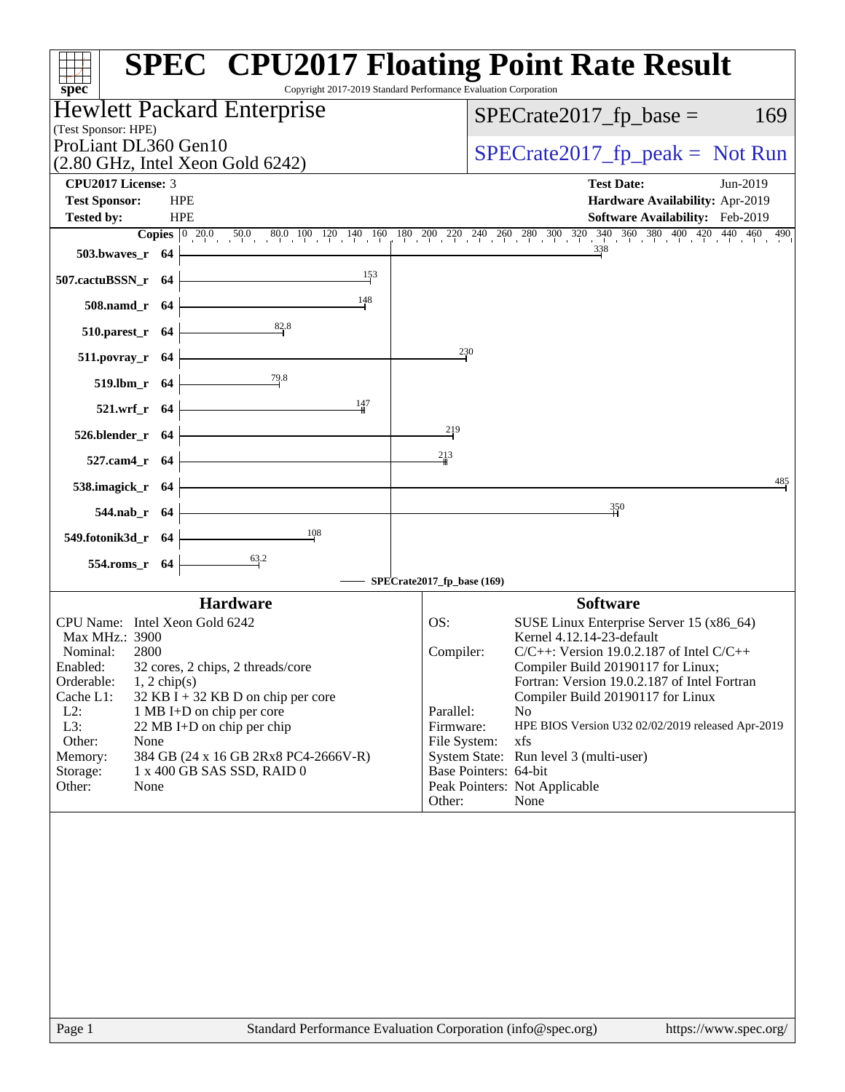| $spec^*$                                                                        | <b>SPEC<sup>®</sup> CPU2017 Floating Point Rate Result</b><br>Copyright 2017-2019 Standard Performance Evaluation Corporation                                                                |
|---------------------------------------------------------------------------------|----------------------------------------------------------------------------------------------------------------------------------------------------------------------------------------------|
| <b>Hewlett Packard Enterprise</b>                                               | $SPECrate2017_fp\_base =$<br>169                                                                                                                                                             |
| (Test Sponsor: HPE)<br>ProLiant DL360 Gen10                                     | $SPECrate2017_fp\_peak = Not Run$                                                                                                                                                            |
| $(2.80 \text{ GHz}, \text{Intel Xeon Gold } 6242)$<br><b>CPU2017 License: 3</b> | <b>Test Date:</b>                                                                                                                                                                            |
| <b>Test Sponsor:</b><br><b>HPE</b>                                              | Jun-2019<br>Hardware Availability: Apr-2019                                                                                                                                                  |
| <b>HPE</b><br><b>Tested by:</b>                                                 | Software Availability: Feb-2019                                                                                                                                                              |
|                                                                                 | <b>Copies</b> $\begin{bmatrix} 0 & 20.0 & 50.0 & 80.0 & 100 & 120 & 140 & 160 & 180 & 200 & 220 & 240 & 260 & 280 & 300 & 320 & 340 & 360 & 380 & 400 & 420 & 440 & 460 & 490 \end{bmatrix}$ |
| 503.bwaves_r $64$                                                               | 338                                                                                                                                                                                          |
| 153<br>507.cactuBSSN_r 64                                                       |                                                                                                                                                                                              |
| 148<br>508.namd_r 64                                                            |                                                                                                                                                                                              |
| 82.8<br>$510.parest_r 64$                                                       |                                                                                                                                                                                              |
| 511.povray_r 64                                                                 | 230                                                                                                                                                                                          |
| $\frac{79.8}{4}$<br>$519. lbm_r$ 64                                             |                                                                                                                                                                                              |
| 147<br>$521.wrf_r$ 64                                                           |                                                                                                                                                                                              |
| 526.blender_r 64                                                                | 219                                                                                                                                                                                          |
| 527.cam4_r 64                                                                   | 213                                                                                                                                                                                          |
| 538.imagick_r 64                                                                | 485                                                                                                                                                                                          |
| 544.nab_r 64                                                                    | 350                                                                                                                                                                                          |
| $\frac{108}{1}$<br>549.fotonik3d_r 64                                           |                                                                                                                                                                                              |
| $\frac{63.2}{2}$<br>$554$ .roms_r 64                                            | SPECrate2017_fp_base (169)                                                                                                                                                                   |
| <b>Hardware</b>                                                                 | <b>Software</b>                                                                                                                                                                              |
| CPU Name: Intel Xeon Gold 6242                                                  | SUSE Linux Enterprise Server 15 (x86_64)<br>OS:                                                                                                                                              |
| Max MHz.: 3900                                                                  | Kernel 4.12.14-23-default                                                                                                                                                                    |
| Nominal:<br>2800<br>Enabled:<br>32 cores, 2 chips, 2 threads/core               | $C/C++$ : Version 19.0.2.187 of Intel $C/C++$<br>Compiler:<br>Compiler Build 20190117 for Linux;                                                                                             |
| Orderable:<br>$1, 2$ chip(s)                                                    | Fortran: Version 19.0.2.187 of Intel Fortran                                                                                                                                                 |
| Cache L1:<br>$32$ KB I + 32 KB D on chip per core                               | Compiler Build 20190117 for Linux                                                                                                                                                            |
| $L2$ :<br>1 MB I+D on chip per core<br>L3:<br>22 MB I+D on chip per chip        | Parallel:<br>No.<br>Firmware:<br>HPE BIOS Version U32 02/02/2019 released Apr-2019                                                                                                           |
| Other:<br>None                                                                  | File System:<br>xfs                                                                                                                                                                          |
| Memory:<br>384 GB (24 x 16 GB 2Rx8 PC4-2666V-R)                                 | System State: Run level 3 (multi-user)                                                                                                                                                       |
| Storage:<br>1 x 400 GB SAS SSD, RAID 0<br>Other:<br>None                        | Base Pointers: 64-bit<br>Peak Pointers: Not Applicable                                                                                                                                       |
|                                                                                 | Other:<br>None                                                                                                                                                                               |
|                                                                                 |                                                                                                                                                                                              |
|                                                                                 |                                                                                                                                                                                              |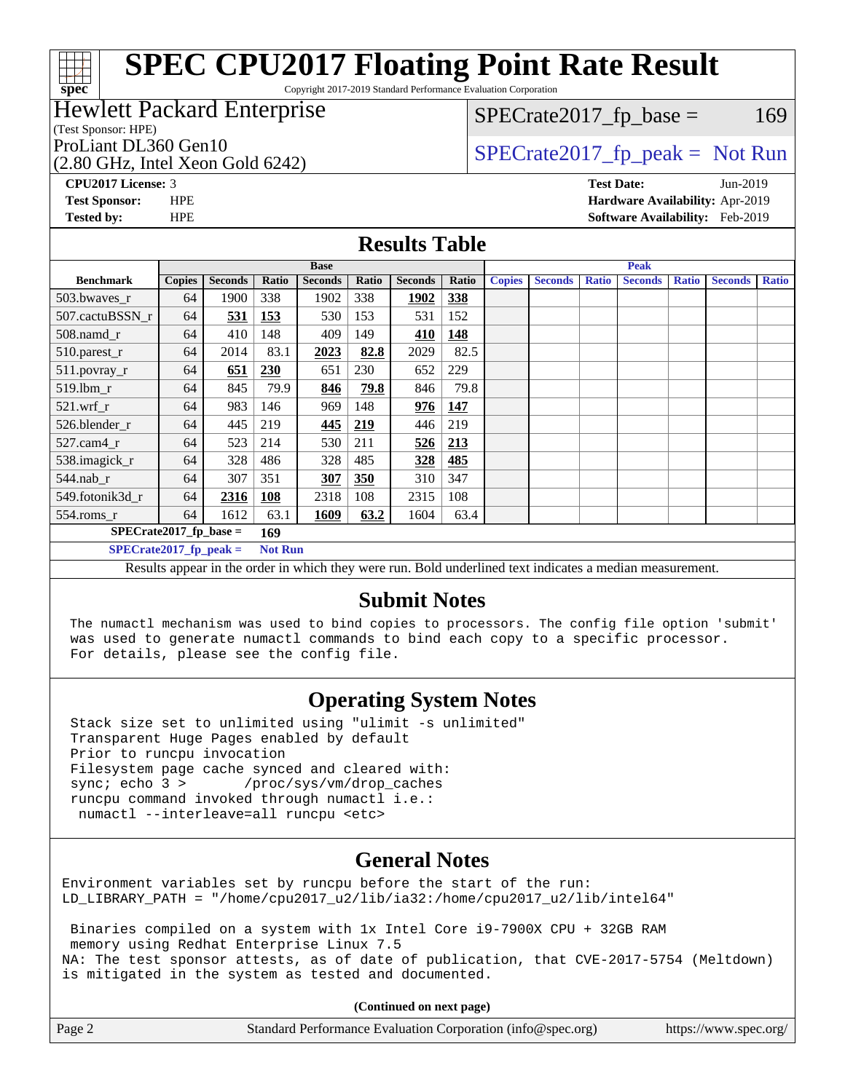Copyright 2017-2019 Standard Performance Evaluation Corporation

## Hewlett Packard Enterprise

(Test Sponsor: HPE)

(2.80 GHz, Intel Xeon Gold 6242)

 $SPECTate2017<sub>fr</sub> base = 169$ 

# ProLiant DL360 Gen10  $SPECTA 5242$   $SPECTA 62017$   $(p$  peak = Not Run

**[spec](http://www.spec.org/)**

**[CPU2017 License:](http://www.spec.org/auto/cpu2017/Docs/result-fields.html#CPU2017License)** 3 **[Test Date:](http://www.spec.org/auto/cpu2017/Docs/result-fields.html#TestDate)** Jun-2019 **[Test Sponsor:](http://www.spec.org/auto/cpu2017/Docs/result-fields.html#TestSponsor)** HPE **[Hardware Availability:](http://www.spec.org/auto/cpu2017/Docs/result-fields.html#HardwareAvailability)** Apr-2019 **[Tested by:](http://www.spec.org/auto/cpu2017/Docs/result-fields.html#Testedby)** HPE **[Software Availability:](http://www.spec.org/auto/cpu2017/Docs/result-fields.html#SoftwareAvailability)** Feb-2019

## **[Results Table](http://www.spec.org/auto/cpu2017/Docs/result-fields.html#ResultsTable)**

|                                            | <b>Base</b>   |                |            |                |       | <b>Peak</b>    |       |               |                      |              |                |              |                |              |
|--------------------------------------------|---------------|----------------|------------|----------------|-------|----------------|-------|---------------|----------------------|--------------|----------------|--------------|----------------|--------------|
| <b>Benchmark</b>                           | <b>Copies</b> | <b>Seconds</b> | Ratio      | <b>Seconds</b> | Ratio | <b>Seconds</b> | Ratio | <b>Copies</b> | <b>Seconds</b>       | <b>Ratio</b> | <b>Seconds</b> | <b>Ratio</b> | <b>Seconds</b> | <b>Ratio</b> |
| 503.bwayes_r                               | 64            | 1900           | 338        | 1902           | 338   | 1902           | 338   |               |                      |              |                |              |                |              |
| 507.cactuBSSN r                            | 64            | 531            | <u>153</u> | 530            | 153   | 531            | 152   |               |                      |              |                |              |                |              |
| $508$ .namd_r                              | 64            | 410            | 148        | 409            | 149   | 410            | 148   |               |                      |              |                |              |                |              |
| 510.parest_r                               | 64            | 2014           | 83.1       | 2023           | 82.8  | 2029           | 82.5  |               |                      |              |                |              |                |              |
| 511.povray_r                               | 64            | 651            | 230        | 651            | 230   | 652            | 229   |               |                      |              |                |              |                |              |
| 519.lbm r                                  | 64            | 845            | 79.9       | 846            | 79.8  | 846            | 79.8  |               |                      |              |                |              |                |              |
| $521$ .wrf r                               | 64            | 983            | 146        | 969            | 148   | 976            | 147   |               |                      |              |                |              |                |              |
| 526.blender_r                              | 64            | 445            | 219        | 445            | 219   | 446            | 219   |               |                      |              |                |              |                |              |
| 527.cam4 r                                 | 64            | 523            | 214        | 530            | 211   | <u>526</u>     | 213   |               |                      |              |                |              |                |              |
| 538.imagick_r                              | 64            | 328            | 486        | 328            | 485   | 328            | 485   |               |                      |              |                |              |                |              |
| 544.nab r                                  | 64            | 307            | 351        | 307            | 350   | 310            | 347   |               |                      |              |                |              |                |              |
| 549.fotonik3d r                            | 64            | 2316           | 108        | 2318           | 108   | 2315           | 108   |               |                      |              |                |              |                |              |
| $554$ .roms_r                              | 64            | 1612           | 63.1       | 1609           | 63.2  | 1604           | 63.4  |               |                      |              |                |              |                |              |
| $SPECrate2017$ fp base =<br>169            |               |                |            |                |       |                |       |               |                      |              |                |              |                |              |
| $SPECrate2017_fp_peak =$<br><b>Not Run</b> |               |                |            |                |       |                |       |               |                      |              |                |              |                |              |
|                                            |               |                |            |                |       | - - -          | .     |               | $\sim$ $\sim$ $\sim$ |              | $\sim$ $\sim$  |              |                |              |

Results appear in the [order in which they were run.](http://www.spec.org/auto/cpu2017/Docs/result-fields.html#RunOrder) Bold underlined text [indicates a median measurement.](http://www.spec.org/auto/cpu2017/Docs/result-fields.html#Median)

## **[Submit Notes](http://www.spec.org/auto/cpu2017/Docs/result-fields.html#SubmitNotes)**

 The numactl mechanism was used to bind copies to processors. The config file option 'submit' was used to generate numactl commands to bind each copy to a specific processor. For details, please see the config file.

## **[Operating System Notes](http://www.spec.org/auto/cpu2017/Docs/result-fields.html#OperatingSystemNotes)**

 Stack size set to unlimited using "ulimit -s unlimited" Transparent Huge Pages enabled by default Prior to runcpu invocation Filesystem page cache synced and cleared with: sync; echo 3 > /proc/sys/vm/drop\_caches runcpu command invoked through numactl i.e.: numactl --interleave=all runcpu <etc>

## **[General Notes](http://www.spec.org/auto/cpu2017/Docs/result-fields.html#GeneralNotes)**

Environment variables set by runcpu before the start of the run: LD\_LIBRARY\_PATH = "/home/cpu2017\_u2/lib/ia32:/home/cpu2017\_u2/lib/intel64"

 Binaries compiled on a system with 1x Intel Core i9-7900X CPU + 32GB RAM memory using Redhat Enterprise Linux 7.5 NA: The test sponsor attests, as of date of publication, that CVE-2017-5754 (Meltdown) is mitigated in the system as tested and documented.

**(Continued on next page)**

| Page 2<br>Standard Performance Evaluation Corporation (info@spec.org)<br>https://www.spec.org/ |
|------------------------------------------------------------------------------------------------|
|------------------------------------------------------------------------------------------------|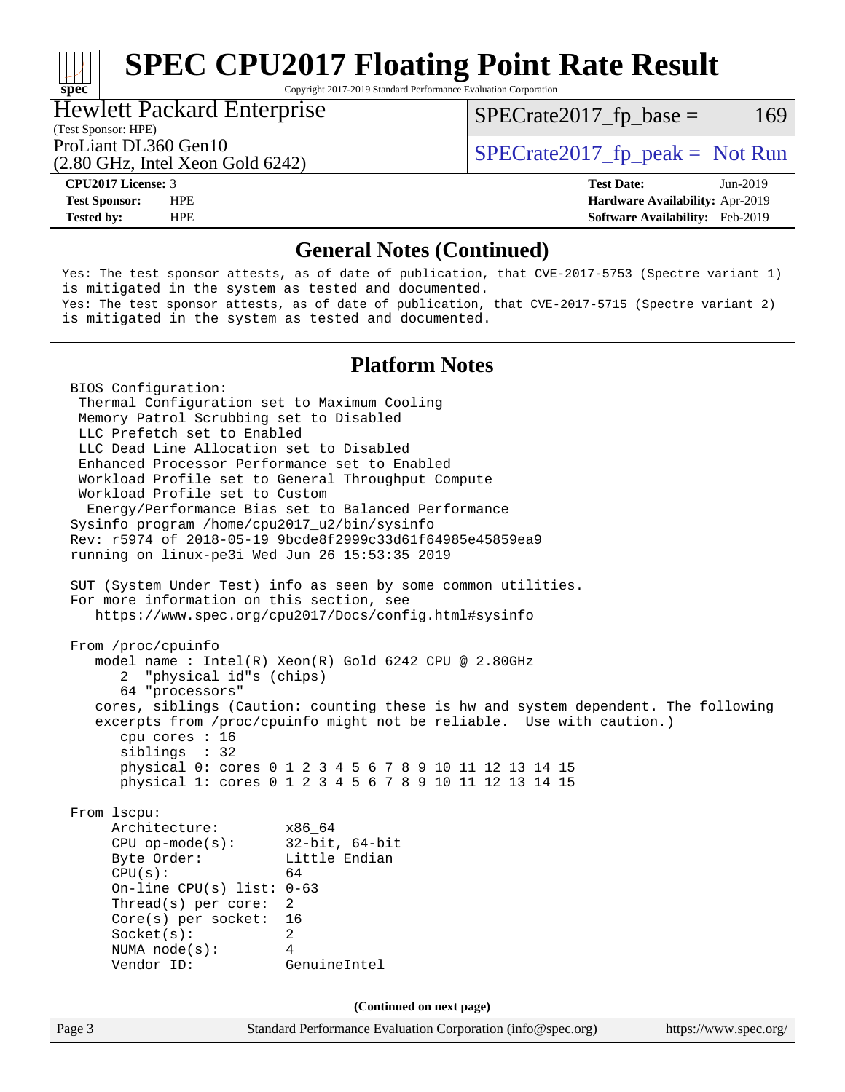Copyright 2017-2019 Standard Performance Evaluation Corporation

### Hewlett Packard Enterprise

 $SPECTate2017<sub>fr</sub> base = 169$ 

### (Test Sponsor: HPE)

(2.80 GHz, Intel Xeon Gold 6242)

ProLiant DL360 Gen10  $SPECTA 5242$   $SPECTA 5242$ 

**[Tested by:](http://www.spec.org/auto/cpu2017/Docs/result-fields.html#Testedby)** HPE **[Software Availability:](http://www.spec.org/auto/cpu2017/Docs/result-fields.html#SoftwareAvailability)** Feb-2019

**[CPU2017 License:](http://www.spec.org/auto/cpu2017/Docs/result-fields.html#CPU2017License)** 3 **[Test Date:](http://www.spec.org/auto/cpu2017/Docs/result-fields.html#TestDate)** Jun-2019 **[Test Sponsor:](http://www.spec.org/auto/cpu2017/Docs/result-fields.html#TestSponsor)** HPE **[Hardware Availability:](http://www.spec.org/auto/cpu2017/Docs/result-fields.html#HardwareAvailability)** Apr-2019

## **[General Notes \(Continued\)](http://www.spec.org/auto/cpu2017/Docs/result-fields.html#GeneralNotes)**

Yes: The test sponsor attests, as of date of publication, that CVE-2017-5753 (Spectre variant 1) is mitigated in the system as tested and documented. Yes: The test sponsor attests, as of date of publication, that CVE-2017-5715 (Spectre variant 2) is mitigated in the system as tested and documented.

## **[Platform Notes](http://www.spec.org/auto/cpu2017/Docs/result-fields.html#PlatformNotes)**

Page 3 Standard Performance Evaluation Corporation [\(info@spec.org\)](mailto:info@spec.org) <https://www.spec.org/> BIOS Configuration: Thermal Configuration set to Maximum Cooling Memory Patrol Scrubbing set to Disabled LLC Prefetch set to Enabled LLC Dead Line Allocation set to Disabled Enhanced Processor Performance set to Enabled Workload Profile set to General Throughput Compute Workload Profile set to Custom Energy/Performance Bias set to Balanced Performance Sysinfo program /home/cpu2017\_u2/bin/sysinfo Rev: r5974 of 2018-05-19 9bcde8f2999c33d61f64985e45859ea9 running on linux-pe3i Wed Jun 26 15:53:35 2019 SUT (System Under Test) info as seen by some common utilities. For more information on this section, see <https://www.spec.org/cpu2017/Docs/config.html#sysinfo> From /proc/cpuinfo model name : Intel(R) Xeon(R) Gold 6242 CPU @ 2.80GHz 2 "physical id"s (chips) 64 "processors" cores, siblings (Caution: counting these is hw and system dependent. The following excerpts from /proc/cpuinfo might not be reliable. Use with caution.) cpu cores : 16 siblings : 32 physical 0: cores 0 1 2 3 4 5 6 7 8 9 10 11 12 13 14 15 physical 1: cores 0 1 2 3 4 5 6 7 8 9 10 11 12 13 14 15 From lscpu: Architecture: x86\_64 CPU op-mode(s): 32-bit, 64-bit Byte Order: Little Endian  $CPU(s):$  64 On-line CPU(s) list: 0-63 Thread(s) per core: 2 Core(s) per socket: 16 Socket(s): 2 NUMA node(s): 4 Vendor ID: GenuineIntel **(Continued on next page)**

**[spec](http://www.spec.org/)**<sup>®</sup>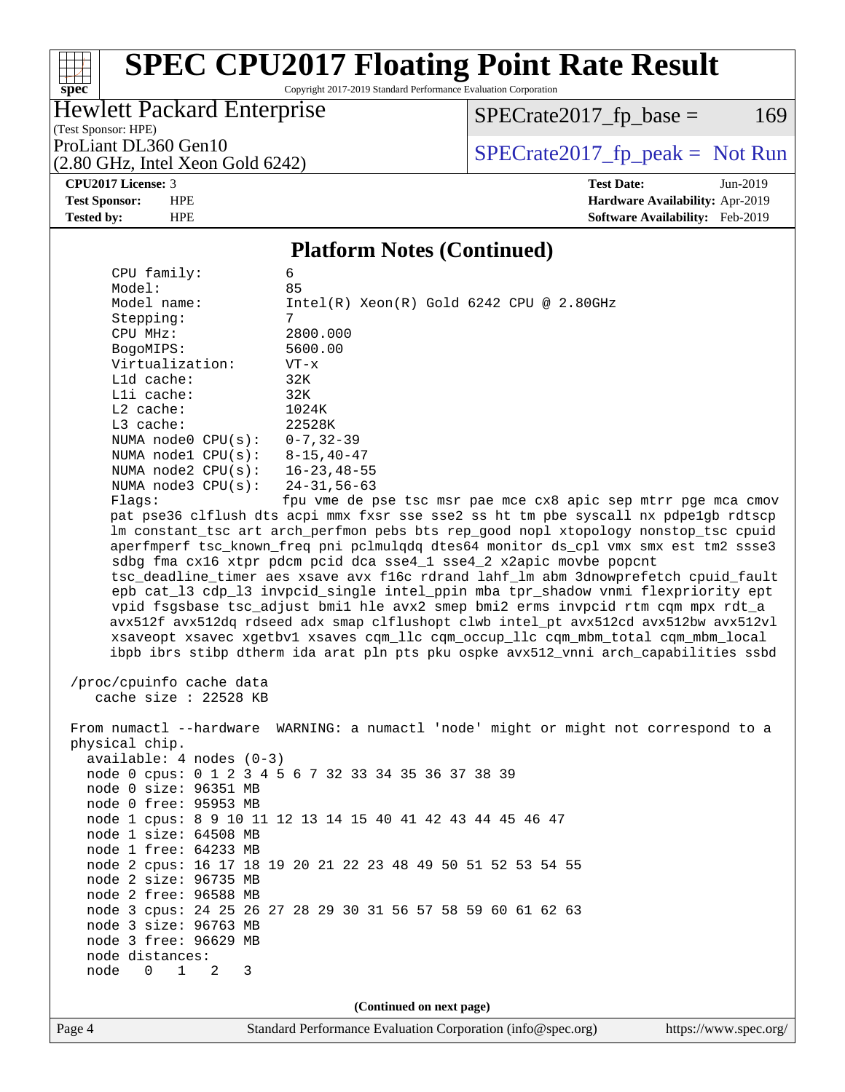Copyright 2017-2019 Standard Performance Evaluation Corporation

## Hewlett Packard Enterprise

 $SPECrate2017_fp\_base = 169$ 

## (Test Sponsor: HPE)

(2.80 GHz, Intel Xeon Gold 6242)

ProLiant DL360 Gen10<br>  $(2.80 \text{ GHz} \text{ Intel } \text{Xeon} \text{ Gold } 6242)$  [SPECrate2017\\_fp\\_peak =](http://www.spec.org/auto/cpu2017/Docs/result-fields.html#SPECrate2017fppeak) Not Run

**[CPU2017 License:](http://www.spec.org/auto/cpu2017/Docs/result-fields.html#CPU2017License)** 3 **[Test Date:](http://www.spec.org/auto/cpu2017/Docs/result-fields.html#TestDate)** Jun-2019 **[Test Sponsor:](http://www.spec.org/auto/cpu2017/Docs/result-fields.html#TestSponsor)** HPE **[Hardware Availability:](http://www.spec.org/auto/cpu2017/Docs/result-fields.html#HardwareAvailability)** Apr-2019 **[Tested by:](http://www.spec.org/auto/cpu2017/Docs/result-fields.html#Testedby)** HPE **[Software Availability:](http://www.spec.org/auto/cpu2017/Docs/result-fields.html#SoftwareAvailability)** Feb-2019

## **[Platform Notes \(Continued\)](http://www.spec.org/auto/cpu2017/Docs/result-fields.html#PlatformNotes)**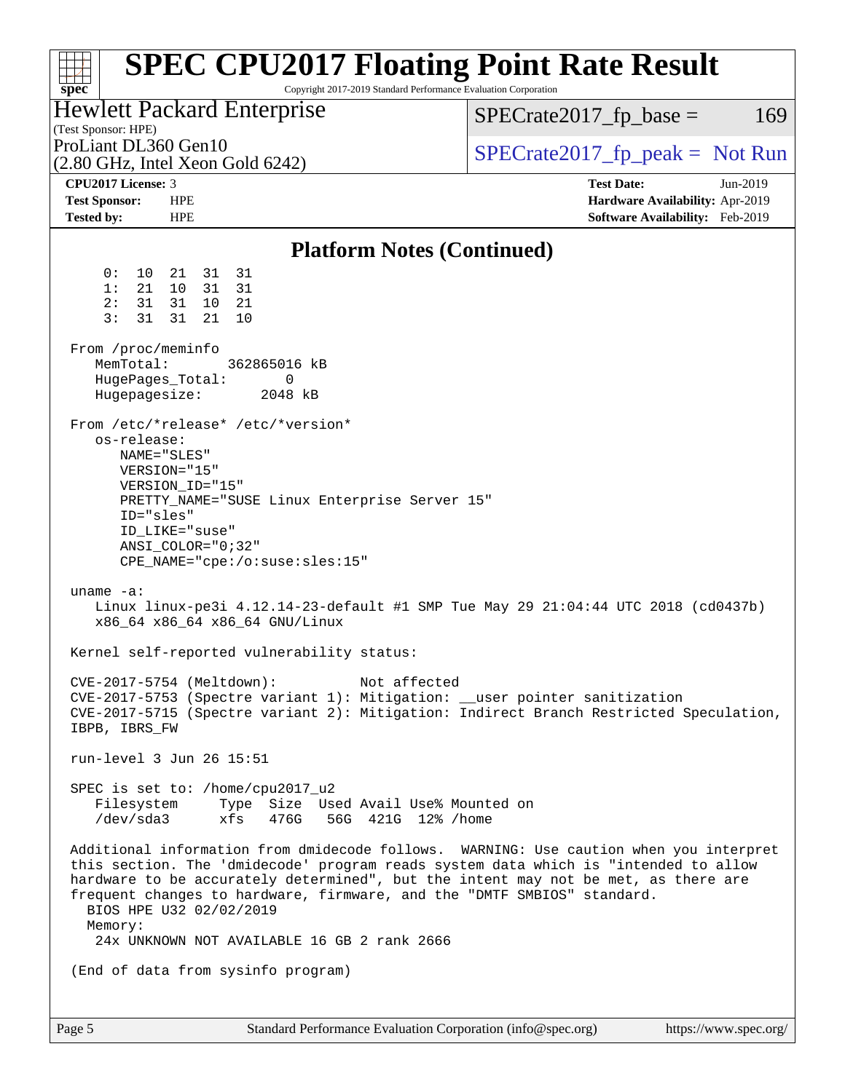| $spec^*$                                                                                                                                                                                                                                                                                                                                  | <b>SPEC CPU2017 Floating Point Rate Result</b><br>Copyright 2017-2019 Standard Performance Evaluation Corporation |
|-------------------------------------------------------------------------------------------------------------------------------------------------------------------------------------------------------------------------------------------------------------------------------------------------------------------------------------------|-------------------------------------------------------------------------------------------------------------------|
| <b>Hewlett Packard Enterprise</b><br>(Test Sponsor: HPE)                                                                                                                                                                                                                                                                                  | $SPECrate2017fr base =$<br>169                                                                                    |
| ProLiant DL360 Gen10<br>$(2.80 \text{ GHz}, \text{Intel Xeon Gold } 6242)$                                                                                                                                                                                                                                                                | $SPECrate2017fr peak = Not Run$                                                                                   |
| CPU2017 License: 3<br><b>Test Sponsor:</b><br><b>HPE</b><br><b>HPE</b><br><b>Tested by:</b>                                                                                                                                                                                                                                               | <b>Test Date:</b><br>Jun-2019<br>Hardware Availability: Apr-2019<br><b>Software Availability:</b> Feb-2019        |
|                                                                                                                                                                                                                                                                                                                                           | <b>Platform Notes (Continued)</b>                                                                                 |
| 31<br>31<br>0 :<br>10<br>21<br>21<br>10 <sup>1</sup><br>31<br>31<br>1:<br>2:<br>31<br>31<br>21<br>10<br>3:<br>31<br>21<br>31<br>10                                                                                                                                                                                                        |                                                                                                                   |
| From /proc/meminfo<br>MemTotal:<br>362865016 kB<br>HugePages_Total:<br>0<br>Hugepagesize:<br>2048 kB                                                                                                                                                                                                                                      |                                                                                                                   |
| From /etc/*release* /etc/*version*<br>os-release:<br>NAME="SLES"<br>VERSION="15"<br>VERSION_ID="15"<br>PRETTY_NAME="SUSE Linux Enterprise Server 15"<br>ID="sles"<br>ID LIKE="suse"<br>$ANSI$ _COLOR="0;32"<br>$CPE\_NAME='cpe://o:suse: sles:15"$                                                                                        |                                                                                                                   |
| uname $-a$ :<br>x86_64 x86_64 x86_64 GNU/Linux                                                                                                                                                                                                                                                                                            | Linux linux-pe3i 4.12.14-23-default #1 SMP Tue May 29 21:04:44 UTC 2018 (cd0437b)                                 |
| Kernel self-reported vulnerability status:                                                                                                                                                                                                                                                                                                |                                                                                                                   |
| CVE-2017-5754 (Meltdown):<br>Not affected<br>CVE-2017-5753 (Spectre variant 1): Mitigation: __user pointer sanitization<br>IBPB, IBRS_FW                                                                                                                                                                                                  | CVE-2017-5715 (Spectre variant 2): Mitigation: Indirect Branch Restricted Speculation,                            |
| run-level 3 Jun 26 15:51                                                                                                                                                                                                                                                                                                                  |                                                                                                                   |
| SPEC is set to: /home/cpu2017_u2<br>Filesystem Type Size Used Avail Use% Mounted on<br>/dev/sda3<br>xfs 476G 56G 421G 12% / home                                                                                                                                                                                                          |                                                                                                                   |
| this section. The 'dmidecode' program reads system data which is "intended to allow<br>hardware to be accurately determined", but the intent may not be met, as there are<br>frequent changes to hardware, firmware, and the "DMTF SMBIOS" standard.<br>BIOS HPE U32 02/02/2019<br>Memory:<br>24x UNKNOWN NOT AVAILABLE 16 GB 2 rank 2666 | Additional information from dmidecode follows. WARNING: Use caution when you interpret                            |
| (End of data from sysinfo program)                                                                                                                                                                                                                                                                                                        |                                                                                                                   |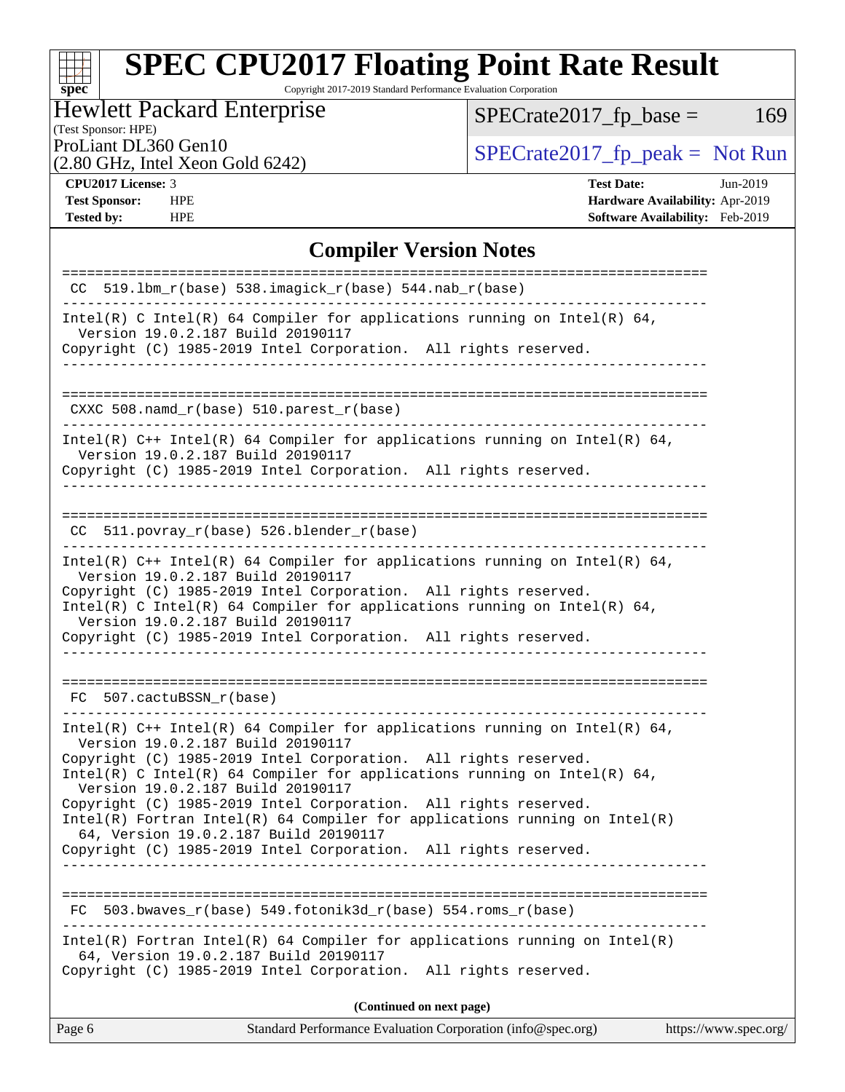Copyright 2017-2019 Standard Performance Evaluation Corporation

## Hewlett Packard Enterprise

(Test Sponsor: HPE)

 $SPECrate2017_fp\_base = 169$ 

(2.80 GHz, Intel Xeon Gold 6242)

ProLiant DL360 Gen10<br>  $(2.80 \text{ GHz} \text{ Intel } X \text{eon } \text{Gold } 6242)$  [SPECrate2017\\_fp\\_peak =](http://www.spec.org/auto/cpu2017/Docs/result-fields.html#SPECrate2017fppeak) Not Run

**[spec](http://www.spec.org/)**

 $\pm$ 

**[CPU2017 License:](http://www.spec.org/auto/cpu2017/Docs/result-fields.html#CPU2017License)** 3 **[Test Date:](http://www.spec.org/auto/cpu2017/Docs/result-fields.html#TestDate)** Jun-2019 **[Test Sponsor:](http://www.spec.org/auto/cpu2017/Docs/result-fields.html#TestSponsor)** HPE **[Hardware Availability:](http://www.spec.org/auto/cpu2017/Docs/result-fields.html#HardwareAvailability)** Apr-2019 **[Tested by:](http://www.spec.org/auto/cpu2017/Docs/result-fields.html#Testedby)** HPE **[Software Availability:](http://www.spec.org/auto/cpu2017/Docs/result-fields.html#SoftwareAvailability)** Feb-2019

## **[Compiler Version Notes](http://www.spec.org/auto/cpu2017/Docs/result-fields.html#CompilerVersionNotes)**

| CC $519.1 \text{bm}_r(\text{base})$ 538.imagick $r(\text{base})$ 544.nab $r(\text{base})$                                                                                                                                                                                                                                                                                                                                                                                                                                                                              |
|------------------------------------------------------------------------------------------------------------------------------------------------------------------------------------------------------------------------------------------------------------------------------------------------------------------------------------------------------------------------------------------------------------------------------------------------------------------------------------------------------------------------------------------------------------------------|
| Intel(R) C Intel(R) 64 Compiler for applications running on Intel(R) 64,<br>Version 19.0.2.187 Build 20190117<br>Copyright (C) 1985-2019 Intel Corporation. All rights reserved.                                                                                                                                                                                                                                                                                                                                                                                       |
| ---------------                                                                                                                                                                                                                                                                                                                                                                                                                                                                                                                                                        |
| CXXC 508.namd_r(base) 510.parest_r(base)                                                                                                                                                                                                                                                                                                                                                                                                                                                                                                                               |
| Intel(R) $C++$ Intel(R) 64 Compiler for applications running on Intel(R) 64,<br>Version 19.0.2.187 Build 20190117<br>Copyright (C) 1985-2019 Intel Corporation. All rights reserved.<br>--------------------------------------                                                                                                                                                                                                                                                                                                                                         |
| CC 511.povray_r(base) 526.blender_r(base)                                                                                                                                                                                                                                                                                                                                                                                                                                                                                                                              |
| Intel(R) $C++$ Intel(R) 64 Compiler for applications running on Intel(R) 64,<br>Version 19.0.2.187 Build 20190117<br>Copyright (C) 1985-2019 Intel Corporation. All rights reserved.<br>Intel(R) C Intel(R) 64 Compiler for applications running on Intel(R) 64,<br>Version 19.0.2.187 Build 20190117<br>Copyright (C) 1985-2019 Intel Corporation. All rights reserved.                                                                                                                                                                                               |
| FC 507.cactuBSSN r(base)                                                                                                                                                                                                                                                                                                                                                                                                                                                                                                                                               |
| Intel(R) $C++$ Intel(R) 64 Compiler for applications running on Intel(R) 64,<br>Version 19.0.2.187 Build 20190117<br>Copyright (C) 1985-2019 Intel Corporation. All rights reserved.<br>$Intel(R)$ C Intel(R) 64 Compiler for applications running on Intel(R) 64,<br>Version 19.0.2.187 Build 20190117<br>Copyright (C) 1985-2019 Intel Corporation. All rights reserved.<br>$Intel(R)$ Fortran Intel(R) 64 Compiler for applications running on Intel(R)<br>64, Version 19.0.2.187 Build 20190117<br>Copyright (C) 1985-2019 Intel Corporation. All rights reserved. |
| $503.bwaves_r(base) 549.fotonik3d_r(base) 554.roms_r(base)$<br>FC                                                                                                                                                                                                                                                                                                                                                                                                                                                                                                      |
| $Intel(R)$ Fortran Intel(R) 64 Compiler for applications running on Intel(R)<br>64, Version 19.0.2.187 Build 20190117<br>Copyright (C) 1985-2019 Intel Corporation. All rights reserved.                                                                                                                                                                                                                                                                                                                                                                               |
| (Continued on next page)                                                                                                                                                                                                                                                                                                                                                                                                                                                                                                                                               |
|                                                                                                                                                                                                                                                                                                                                                                                                                                                                                                                                                                        |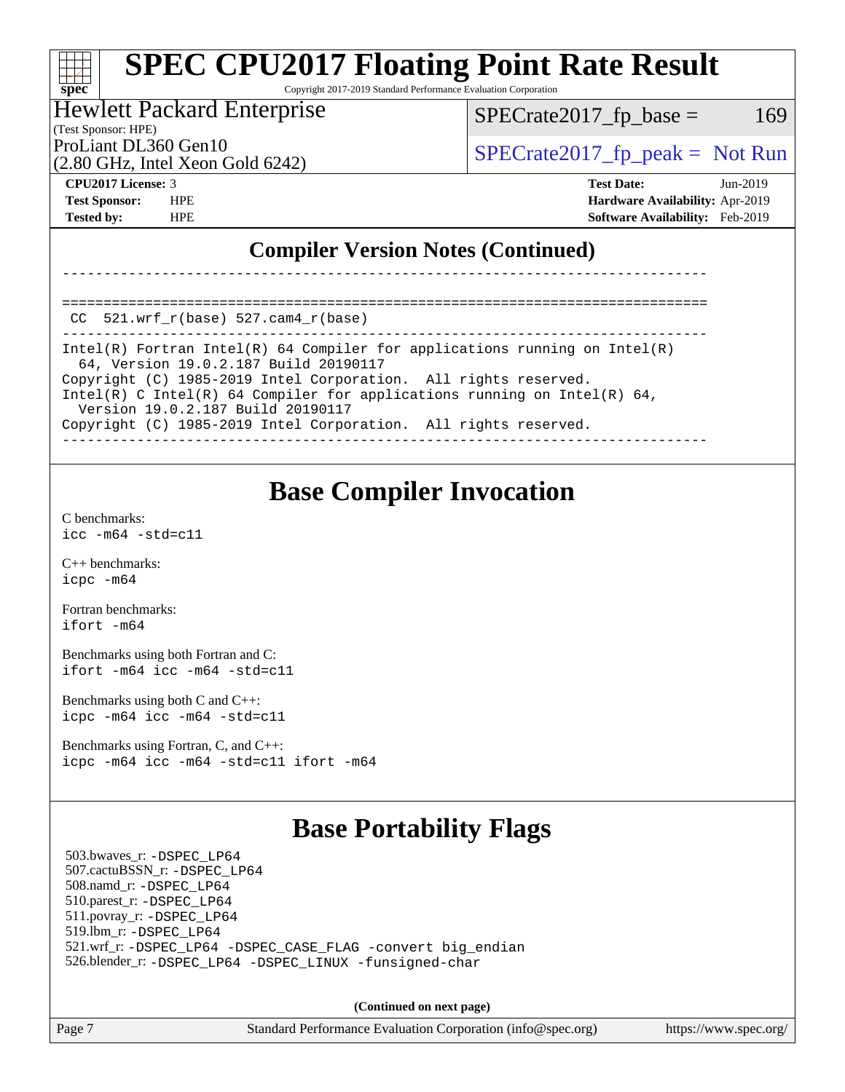Copyright 2017-2019 Standard Performance Evaluation Corporation

### Hewlett Packard Enterprise

(Test Sponsor: HPE)

 $SPECTate2017<sub>fr</sub> base = 169$ 

(2.80 GHz, Intel Xeon Gold 6242)

ProLiant DL360 Gen10  $SPECrate2017$ \_fp\_peak = Not Run

**[spec](http://www.spec.org/)**

**[CPU2017 License:](http://www.spec.org/auto/cpu2017/Docs/result-fields.html#CPU2017License)** 3 **[Test Date:](http://www.spec.org/auto/cpu2017/Docs/result-fields.html#TestDate)** Jun-2019 **[Test Sponsor:](http://www.spec.org/auto/cpu2017/Docs/result-fields.html#TestSponsor)** HPE **[Hardware Availability:](http://www.spec.org/auto/cpu2017/Docs/result-fields.html#HardwareAvailability)** Apr-2019 **[Tested by:](http://www.spec.org/auto/cpu2017/Docs/result-fields.html#Testedby)** HPE **[Software Availability:](http://www.spec.org/auto/cpu2017/Docs/result-fields.html#SoftwareAvailability)** Feb-2019

## **[Compiler Version Notes \(Continued\)](http://www.spec.org/auto/cpu2017/Docs/result-fields.html#CompilerVersionNotes)**

==============================================================================  $CC$  521.wrf $_r(base)$  527.cam4 $_r(base)$ 

------------------------------------------------------------------------------ Intel(R) Fortran Intel(R) 64 Compiler for applications running on Intel(R) 64, Version 19.0.2.187 Build 20190117 Copyright (C) 1985-2019 Intel Corporation. All rights reserved. Intel(R) C Intel(R) 64 Compiler for applications running on Intel(R) 64, Version 19.0.2.187 Build 20190117

------------------------------------------------------------------------------

Copyright (C) 1985-2019 Intel Corporation. All rights reserved. ------------------------------------------------------------------------------

## **[Base Compiler Invocation](http://www.spec.org/auto/cpu2017/Docs/result-fields.html#BaseCompilerInvocation)**

[C benchmarks](http://www.spec.org/auto/cpu2017/Docs/result-fields.html#Cbenchmarks): [icc -m64 -std=c11](http://www.spec.org/cpu2017/results/res2019q3/cpu2017-20190709-16059.flags.html#user_CCbase_intel_icc_64bit_c11_33ee0cdaae7deeeab2a9725423ba97205ce30f63b9926c2519791662299b76a0318f32ddfffdc46587804de3178b4f9328c46fa7c2b0cd779d7a61945c91cd35)

[C++ benchmarks:](http://www.spec.org/auto/cpu2017/Docs/result-fields.html#CXXbenchmarks) [icpc -m64](http://www.spec.org/cpu2017/results/res2019q3/cpu2017-20190709-16059.flags.html#user_CXXbase_intel_icpc_64bit_4ecb2543ae3f1412ef961e0650ca070fec7b7afdcd6ed48761b84423119d1bf6bdf5cad15b44d48e7256388bc77273b966e5eb805aefd121eb22e9299b2ec9d9)

[Fortran benchmarks](http://www.spec.org/auto/cpu2017/Docs/result-fields.html#Fortranbenchmarks): [ifort -m64](http://www.spec.org/cpu2017/results/res2019q3/cpu2017-20190709-16059.flags.html#user_FCbase_intel_ifort_64bit_24f2bb282fbaeffd6157abe4f878425411749daecae9a33200eee2bee2fe76f3b89351d69a8130dd5949958ce389cf37ff59a95e7a40d588e8d3a57e0c3fd751)

[Benchmarks using both Fortran and C](http://www.spec.org/auto/cpu2017/Docs/result-fields.html#BenchmarksusingbothFortranandC): [ifort -m64](http://www.spec.org/cpu2017/results/res2019q3/cpu2017-20190709-16059.flags.html#user_CC_FCbase_intel_ifort_64bit_24f2bb282fbaeffd6157abe4f878425411749daecae9a33200eee2bee2fe76f3b89351d69a8130dd5949958ce389cf37ff59a95e7a40d588e8d3a57e0c3fd751) [icc -m64 -std=c11](http://www.spec.org/cpu2017/results/res2019q3/cpu2017-20190709-16059.flags.html#user_CC_FCbase_intel_icc_64bit_c11_33ee0cdaae7deeeab2a9725423ba97205ce30f63b9926c2519791662299b76a0318f32ddfffdc46587804de3178b4f9328c46fa7c2b0cd779d7a61945c91cd35)

[Benchmarks using both C and C++](http://www.spec.org/auto/cpu2017/Docs/result-fields.html#BenchmarksusingbothCandCXX): [icpc -m64](http://www.spec.org/cpu2017/results/res2019q3/cpu2017-20190709-16059.flags.html#user_CC_CXXbase_intel_icpc_64bit_4ecb2543ae3f1412ef961e0650ca070fec7b7afdcd6ed48761b84423119d1bf6bdf5cad15b44d48e7256388bc77273b966e5eb805aefd121eb22e9299b2ec9d9) [icc -m64 -std=c11](http://www.spec.org/cpu2017/results/res2019q3/cpu2017-20190709-16059.flags.html#user_CC_CXXbase_intel_icc_64bit_c11_33ee0cdaae7deeeab2a9725423ba97205ce30f63b9926c2519791662299b76a0318f32ddfffdc46587804de3178b4f9328c46fa7c2b0cd779d7a61945c91cd35)

[Benchmarks using Fortran, C, and C++:](http://www.spec.org/auto/cpu2017/Docs/result-fields.html#BenchmarksusingFortranCandCXX) [icpc -m64](http://www.spec.org/cpu2017/results/res2019q3/cpu2017-20190709-16059.flags.html#user_CC_CXX_FCbase_intel_icpc_64bit_4ecb2543ae3f1412ef961e0650ca070fec7b7afdcd6ed48761b84423119d1bf6bdf5cad15b44d48e7256388bc77273b966e5eb805aefd121eb22e9299b2ec9d9) [icc -m64 -std=c11](http://www.spec.org/cpu2017/results/res2019q3/cpu2017-20190709-16059.flags.html#user_CC_CXX_FCbase_intel_icc_64bit_c11_33ee0cdaae7deeeab2a9725423ba97205ce30f63b9926c2519791662299b76a0318f32ddfffdc46587804de3178b4f9328c46fa7c2b0cd779d7a61945c91cd35) [ifort -m64](http://www.spec.org/cpu2017/results/res2019q3/cpu2017-20190709-16059.flags.html#user_CC_CXX_FCbase_intel_ifort_64bit_24f2bb282fbaeffd6157abe4f878425411749daecae9a33200eee2bee2fe76f3b89351d69a8130dd5949958ce389cf37ff59a95e7a40d588e8d3a57e0c3fd751)

# **[Base Portability Flags](http://www.spec.org/auto/cpu2017/Docs/result-fields.html#BasePortabilityFlags)**

 503.bwaves\_r: [-DSPEC\\_LP64](http://www.spec.org/cpu2017/results/res2019q3/cpu2017-20190709-16059.flags.html#suite_basePORTABILITY503_bwaves_r_DSPEC_LP64) 507.cactuBSSN\_r: [-DSPEC\\_LP64](http://www.spec.org/cpu2017/results/res2019q3/cpu2017-20190709-16059.flags.html#suite_basePORTABILITY507_cactuBSSN_r_DSPEC_LP64) 508.namd\_r: [-DSPEC\\_LP64](http://www.spec.org/cpu2017/results/res2019q3/cpu2017-20190709-16059.flags.html#suite_basePORTABILITY508_namd_r_DSPEC_LP64) 510.parest\_r: [-DSPEC\\_LP64](http://www.spec.org/cpu2017/results/res2019q3/cpu2017-20190709-16059.flags.html#suite_basePORTABILITY510_parest_r_DSPEC_LP64) 511.povray\_r: [-DSPEC\\_LP64](http://www.spec.org/cpu2017/results/res2019q3/cpu2017-20190709-16059.flags.html#suite_basePORTABILITY511_povray_r_DSPEC_LP64) 519.lbm\_r: [-DSPEC\\_LP64](http://www.spec.org/cpu2017/results/res2019q3/cpu2017-20190709-16059.flags.html#suite_basePORTABILITY519_lbm_r_DSPEC_LP64) 521.wrf\_r: [-DSPEC\\_LP64](http://www.spec.org/cpu2017/results/res2019q3/cpu2017-20190709-16059.flags.html#suite_basePORTABILITY521_wrf_r_DSPEC_LP64) [-DSPEC\\_CASE\\_FLAG](http://www.spec.org/cpu2017/results/res2019q3/cpu2017-20190709-16059.flags.html#b521.wrf_r_baseCPORTABILITY_DSPEC_CASE_FLAG) [-convert big\\_endian](http://www.spec.org/cpu2017/results/res2019q3/cpu2017-20190709-16059.flags.html#user_baseFPORTABILITY521_wrf_r_convert_big_endian_c3194028bc08c63ac5d04de18c48ce6d347e4e562e8892b8bdbdc0214820426deb8554edfa529a3fb25a586e65a3d812c835984020483e7e73212c4d31a38223) 526.blender\_r: [-DSPEC\\_LP64](http://www.spec.org/cpu2017/results/res2019q3/cpu2017-20190709-16059.flags.html#suite_basePORTABILITY526_blender_r_DSPEC_LP64) [-DSPEC\\_LINUX](http://www.spec.org/cpu2017/results/res2019q3/cpu2017-20190709-16059.flags.html#b526.blender_r_baseCPORTABILITY_DSPEC_LINUX) [-funsigned-char](http://www.spec.org/cpu2017/results/res2019q3/cpu2017-20190709-16059.flags.html#user_baseCPORTABILITY526_blender_r_force_uchar_40c60f00ab013830e2dd6774aeded3ff59883ba5a1fc5fc14077f794d777847726e2a5858cbc7672e36e1b067e7e5c1d9a74f7176df07886a243d7cc18edfe67)

**(Continued on next page)**

Page 7 Standard Performance Evaluation Corporation [\(info@spec.org\)](mailto:info@spec.org) <https://www.spec.org/>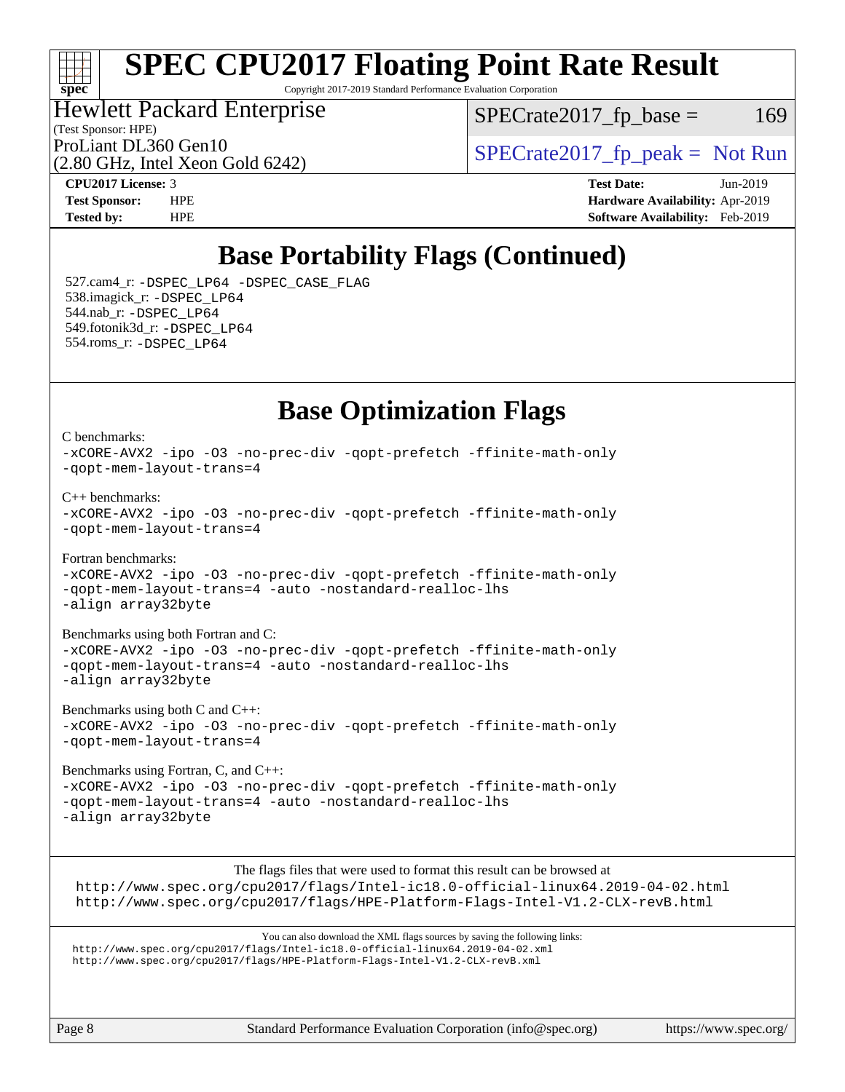## ti h **[spec](http://www.spec.org/)**

# **[SPEC CPU2017 Floating Point Rate Result](http://www.spec.org/auto/cpu2017/Docs/result-fields.html#SPECCPU2017FloatingPointRateResult)**

Copyright 2017-2019 Standard Performance Evaluation Corporation

### (Test Sponsor: HPE) Hewlett Packard Enterprise

 $SPECTate2017<sub>fr</sub> base = 169$ 

(2.80 GHz, Intel Xeon Gold 6242)

ProLiant DL360 Gen10  $SPECrate2017$ \_fp\_peak = Not Run

**[CPU2017 License:](http://www.spec.org/auto/cpu2017/Docs/result-fields.html#CPU2017License)** 3 **[Test Date:](http://www.spec.org/auto/cpu2017/Docs/result-fields.html#TestDate)** Jun-2019 **[Test Sponsor:](http://www.spec.org/auto/cpu2017/Docs/result-fields.html#TestSponsor)** HPE **[Hardware Availability:](http://www.spec.org/auto/cpu2017/Docs/result-fields.html#HardwareAvailability)** Apr-2019 **[Tested by:](http://www.spec.org/auto/cpu2017/Docs/result-fields.html#Testedby)** HPE **[Software Availability:](http://www.spec.org/auto/cpu2017/Docs/result-fields.html#SoftwareAvailability)** Feb-2019

# **[Base Portability Flags \(Continued\)](http://www.spec.org/auto/cpu2017/Docs/result-fields.html#BasePortabilityFlags)**

 527.cam4\_r: [-DSPEC\\_LP64](http://www.spec.org/cpu2017/results/res2019q3/cpu2017-20190709-16059.flags.html#suite_basePORTABILITY527_cam4_r_DSPEC_LP64) [-DSPEC\\_CASE\\_FLAG](http://www.spec.org/cpu2017/results/res2019q3/cpu2017-20190709-16059.flags.html#b527.cam4_r_baseCPORTABILITY_DSPEC_CASE_FLAG) 538.imagick\_r: [-DSPEC\\_LP64](http://www.spec.org/cpu2017/results/res2019q3/cpu2017-20190709-16059.flags.html#suite_basePORTABILITY538_imagick_r_DSPEC_LP64) 544.nab\_r: [-DSPEC\\_LP64](http://www.spec.org/cpu2017/results/res2019q3/cpu2017-20190709-16059.flags.html#suite_basePORTABILITY544_nab_r_DSPEC_LP64) 549.fotonik3d\_r: [-DSPEC\\_LP64](http://www.spec.org/cpu2017/results/res2019q3/cpu2017-20190709-16059.flags.html#suite_basePORTABILITY549_fotonik3d_r_DSPEC_LP64) 554.roms\_r: [-DSPEC\\_LP64](http://www.spec.org/cpu2017/results/res2019q3/cpu2017-20190709-16059.flags.html#suite_basePORTABILITY554_roms_r_DSPEC_LP64)

## **[Base Optimization Flags](http://www.spec.org/auto/cpu2017/Docs/result-fields.html#BaseOptimizationFlags)**

[C benchmarks](http://www.spec.org/auto/cpu2017/Docs/result-fields.html#Cbenchmarks): [-xCORE-AVX2](http://www.spec.org/cpu2017/results/res2019q3/cpu2017-20190709-16059.flags.html#user_CCbase_f-xCORE-AVX2) [-ipo](http://www.spec.org/cpu2017/results/res2019q3/cpu2017-20190709-16059.flags.html#user_CCbase_f-ipo) [-O3](http://www.spec.org/cpu2017/results/res2019q3/cpu2017-20190709-16059.flags.html#user_CCbase_f-O3) [-no-prec-div](http://www.spec.org/cpu2017/results/res2019q3/cpu2017-20190709-16059.flags.html#user_CCbase_f-no-prec-div) [-qopt-prefetch](http://www.spec.org/cpu2017/results/res2019q3/cpu2017-20190709-16059.flags.html#user_CCbase_f-qopt-prefetch) [-ffinite-math-only](http://www.spec.org/cpu2017/results/res2019q3/cpu2017-20190709-16059.flags.html#user_CCbase_f_finite_math_only_cb91587bd2077682c4b38af759c288ed7c732db004271a9512da14a4f8007909a5f1427ecbf1a0fb78ff2a814402c6114ac565ca162485bbcae155b5e4258871) [-qopt-mem-layout-trans=4](http://www.spec.org/cpu2017/results/res2019q3/cpu2017-20190709-16059.flags.html#user_CCbase_f-qopt-mem-layout-trans_fa39e755916c150a61361b7846f310bcdf6f04e385ef281cadf3647acec3f0ae266d1a1d22d972a7087a248fd4e6ca390a3634700869573d231a252c784941a8) [C++ benchmarks:](http://www.spec.org/auto/cpu2017/Docs/result-fields.html#CXXbenchmarks) [-xCORE-AVX2](http://www.spec.org/cpu2017/results/res2019q3/cpu2017-20190709-16059.flags.html#user_CXXbase_f-xCORE-AVX2) [-ipo](http://www.spec.org/cpu2017/results/res2019q3/cpu2017-20190709-16059.flags.html#user_CXXbase_f-ipo) [-O3](http://www.spec.org/cpu2017/results/res2019q3/cpu2017-20190709-16059.flags.html#user_CXXbase_f-O3) [-no-prec-div](http://www.spec.org/cpu2017/results/res2019q3/cpu2017-20190709-16059.flags.html#user_CXXbase_f-no-prec-div) [-qopt-prefetch](http://www.spec.org/cpu2017/results/res2019q3/cpu2017-20190709-16059.flags.html#user_CXXbase_f-qopt-prefetch) [-ffinite-math-only](http://www.spec.org/cpu2017/results/res2019q3/cpu2017-20190709-16059.flags.html#user_CXXbase_f_finite_math_only_cb91587bd2077682c4b38af759c288ed7c732db004271a9512da14a4f8007909a5f1427ecbf1a0fb78ff2a814402c6114ac565ca162485bbcae155b5e4258871) [-qopt-mem-layout-trans=4](http://www.spec.org/cpu2017/results/res2019q3/cpu2017-20190709-16059.flags.html#user_CXXbase_f-qopt-mem-layout-trans_fa39e755916c150a61361b7846f310bcdf6f04e385ef281cadf3647acec3f0ae266d1a1d22d972a7087a248fd4e6ca390a3634700869573d231a252c784941a8) [Fortran benchmarks](http://www.spec.org/auto/cpu2017/Docs/result-fields.html#Fortranbenchmarks): [-xCORE-AVX2](http://www.spec.org/cpu2017/results/res2019q3/cpu2017-20190709-16059.flags.html#user_FCbase_f-xCORE-AVX2) [-ipo](http://www.spec.org/cpu2017/results/res2019q3/cpu2017-20190709-16059.flags.html#user_FCbase_f-ipo) [-O3](http://www.spec.org/cpu2017/results/res2019q3/cpu2017-20190709-16059.flags.html#user_FCbase_f-O3) [-no-prec-div](http://www.spec.org/cpu2017/results/res2019q3/cpu2017-20190709-16059.flags.html#user_FCbase_f-no-prec-div) [-qopt-prefetch](http://www.spec.org/cpu2017/results/res2019q3/cpu2017-20190709-16059.flags.html#user_FCbase_f-qopt-prefetch) [-ffinite-math-only](http://www.spec.org/cpu2017/results/res2019q3/cpu2017-20190709-16059.flags.html#user_FCbase_f_finite_math_only_cb91587bd2077682c4b38af759c288ed7c732db004271a9512da14a4f8007909a5f1427ecbf1a0fb78ff2a814402c6114ac565ca162485bbcae155b5e4258871) [-qopt-mem-layout-trans=4](http://www.spec.org/cpu2017/results/res2019q3/cpu2017-20190709-16059.flags.html#user_FCbase_f-qopt-mem-layout-trans_fa39e755916c150a61361b7846f310bcdf6f04e385ef281cadf3647acec3f0ae266d1a1d22d972a7087a248fd4e6ca390a3634700869573d231a252c784941a8) [-auto](http://www.spec.org/cpu2017/results/res2019q3/cpu2017-20190709-16059.flags.html#user_FCbase_f-auto) [-nostandard-realloc-lhs](http://www.spec.org/cpu2017/results/res2019q3/cpu2017-20190709-16059.flags.html#user_FCbase_f_2003_std_realloc_82b4557e90729c0f113870c07e44d33d6f5a304b4f63d4c15d2d0f1fab99f5daaed73bdb9275d9ae411527f28b936061aa8b9c8f2d63842963b95c9dd6426b8a) [-align array32byte](http://www.spec.org/cpu2017/results/res2019q3/cpu2017-20190709-16059.flags.html#user_FCbase_align_array32byte_b982fe038af199962ba9a80c053b8342c548c85b40b8e86eb3cc33dee0d7986a4af373ac2d51c3f7cf710a18d62fdce2948f201cd044323541f22fc0fffc51b6) [Benchmarks using both Fortran and C](http://www.spec.org/auto/cpu2017/Docs/result-fields.html#BenchmarksusingbothFortranandC):

[-xCORE-AVX2](http://www.spec.org/cpu2017/results/res2019q3/cpu2017-20190709-16059.flags.html#user_CC_FCbase_f-xCORE-AVX2) [-ipo](http://www.spec.org/cpu2017/results/res2019q3/cpu2017-20190709-16059.flags.html#user_CC_FCbase_f-ipo) [-O3](http://www.spec.org/cpu2017/results/res2019q3/cpu2017-20190709-16059.flags.html#user_CC_FCbase_f-O3) [-no-prec-div](http://www.spec.org/cpu2017/results/res2019q3/cpu2017-20190709-16059.flags.html#user_CC_FCbase_f-no-prec-div) [-qopt-prefetch](http://www.spec.org/cpu2017/results/res2019q3/cpu2017-20190709-16059.flags.html#user_CC_FCbase_f-qopt-prefetch) [-ffinite-math-only](http://www.spec.org/cpu2017/results/res2019q3/cpu2017-20190709-16059.flags.html#user_CC_FCbase_f_finite_math_only_cb91587bd2077682c4b38af759c288ed7c732db004271a9512da14a4f8007909a5f1427ecbf1a0fb78ff2a814402c6114ac565ca162485bbcae155b5e4258871) [-qopt-mem-layout-trans=4](http://www.spec.org/cpu2017/results/res2019q3/cpu2017-20190709-16059.flags.html#user_CC_FCbase_f-qopt-mem-layout-trans_fa39e755916c150a61361b7846f310bcdf6f04e385ef281cadf3647acec3f0ae266d1a1d22d972a7087a248fd4e6ca390a3634700869573d231a252c784941a8) [-auto](http://www.spec.org/cpu2017/results/res2019q3/cpu2017-20190709-16059.flags.html#user_CC_FCbase_f-auto) [-nostandard-realloc-lhs](http://www.spec.org/cpu2017/results/res2019q3/cpu2017-20190709-16059.flags.html#user_CC_FCbase_f_2003_std_realloc_82b4557e90729c0f113870c07e44d33d6f5a304b4f63d4c15d2d0f1fab99f5daaed73bdb9275d9ae411527f28b936061aa8b9c8f2d63842963b95c9dd6426b8a) [-align array32byte](http://www.spec.org/cpu2017/results/res2019q3/cpu2017-20190709-16059.flags.html#user_CC_FCbase_align_array32byte_b982fe038af199962ba9a80c053b8342c548c85b40b8e86eb3cc33dee0d7986a4af373ac2d51c3f7cf710a18d62fdce2948f201cd044323541f22fc0fffc51b6)

[Benchmarks using both C and C++](http://www.spec.org/auto/cpu2017/Docs/result-fields.html#BenchmarksusingbothCandCXX): [-xCORE-AVX2](http://www.spec.org/cpu2017/results/res2019q3/cpu2017-20190709-16059.flags.html#user_CC_CXXbase_f-xCORE-AVX2) [-ipo](http://www.spec.org/cpu2017/results/res2019q3/cpu2017-20190709-16059.flags.html#user_CC_CXXbase_f-ipo) [-O3](http://www.spec.org/cpu2017/results/res2019q3/cpu2017-20190709-16059.flags.html#user_CC_CXXbase_f-O3) [-no-prec-div](http://www.spec.org/cpu2017/results/res2019q3/cpu2017-20190709-16059.flags.html#user_CC_CXXbase_f-no-prec-div) [-qopt-prefetch](http://www.spec.org/cpu2017/results/res2019q3/cpu2017-20190709-16059.flags.html#user_CC_CXXbase_f-qopt-prefetch) [-ffinite-math-only](http://www.spec.org/cpu2017/results/res2019q3/cpu2017-20190709-16059.flags.html#user_CC_CXXbase_f_finite_math_only_cb91587bd2077682c4b38af759c288ed7c732db004271a9512da14a4f8007909a5f1427ecbf1a0fb78ff2a814402c6114ac565ca162485bbcae155b5e4258871) [-qopt-mem-layout-trans=4](http://www.spec.org/cpu2017/results/res2019q3/cpu2017-20190709-16059.flags.html#user_CC_CXXbase_f-qopt-mem-layout-trans_fa39e755916c150a61361b7846f310bcdf6f04e385ef281cadf3647acec3f0ae266d1a1d22d972a7087a248fd4e6ca390a3634700869573d231a252c784941a8)

[Benchmarks using Fortran, C, and C++:](http://www.spec.org/auto/cpu2017/Docs/result-fields.html#BenchmarksusingFortranCandCXX) [-xCORE-AVX2](http://www.spec.org/cpu2017/results/res2019q3/cpu2017-20190709-16059.flags.html#user_CC_CXX_FCbase_f-xCORE-AVX2) [-ipo](http://www.spec.org/cpu2017/results/res2019q3/cpu2017-20190709-16059.flags.html#user_CC_CXX_FCbase_f-ipo) [-O3](http://www.spec.org/cpu2017/results/res2019q3/cpu2017-20190709-16059.flags.html#user_CC_CXX_FCbase_f-O3) [-no-prec-div](http://www.spec.org/cpu2017/results/res2019q3/cpu2017-20190709-16059.flags.html#user_CC_CXX_FCbase_f-no-prec-div) [-qopt-prefetch](http://www.spec.org/cpu2017/results/res2019q3/cpu2017-20190709-16059.flags.html#user_CC_CXX_FCbase_f-qopt-prefetch) [-ffinite-math-only](http://www.spec.org/cpu2017/results/res2019q3/cpu2017-20190709-16059.flags.html#user_CC_CXX_FCbase_f_finite_math_only_cb91587bd2077682c4b38af759c288ed7c732db004271a9512da14a4f8007909a5f1427ecbf1a0fb78ff2a814402c6114ac565ca162485bbcae155b5e4258871) [-qopt-mem-layout-trans=4](http://www.spec.org/cpu2017/results/res2019q3/cpu2017-20190709-16059.flags.html#user_CC_CXX_FCbase_f-qopt-mem-layout-trans_fa39e755916c150a61361b7846f310bcdf6f04e385ef281cadf3647acec3f0ae266d1a1d22d972a7087a248fd4e6ca390a3634700869573d231a252c784941a8) [-auto](http://www.spec.org/cpu2017/results/res2019q3/cpu2017-20190709-16059.flags.html#user_CC_CXX_FCbase_f-auto) [-nostandard-realloc-lhs](http://www.spec.org/cpu2017/results/res2019q3/cpu2017-20190709-16059.flags.html#user_CC_CXX_FCbase_f_2003_std_realloc_82b4557e90729c0f113870c07e44d33d6f5a304b4f63d4c15d2d0f1fab99f5daaed73bdb9275d9ae411527f28b936061aa8b9c8f2d63842963b95c9dd6426b8a) [-align array32byte](http://www.spec.org/cpu2017/results/res2019q3/cpu2017-20190709-16059.flags.html#user_CC_CXX_FCbase_align_array32byte_b982fe038af199962ba9a80c053b8342c548c85b40b8e86eb3cc33dee0d7986a4af373ac2d51c3f7cf710a18d62fdce2948f201cd044323541f22fc0fffc51b6)

The flags files that were used to format this result can be browsed at <http://www.spec.org/cpu2017/flags/Intel-ic18.0-official-linux64.2019-04-02.html> <http://www.spec.org/cpu2017/flags/HPE-Platform-Flags-Intel-V1.2-CLX-revB.html>

You can also download the XML flags sources by saving the following links: <http://www.spec.org/cpu2017/flags/Intel-ic18.0-official-linux64.2019-04-02.xml> <http://www.spec.org/cpu2017/flags/HPE-Platform-Flags-Intel-V1.2-CLX-revB.xml>